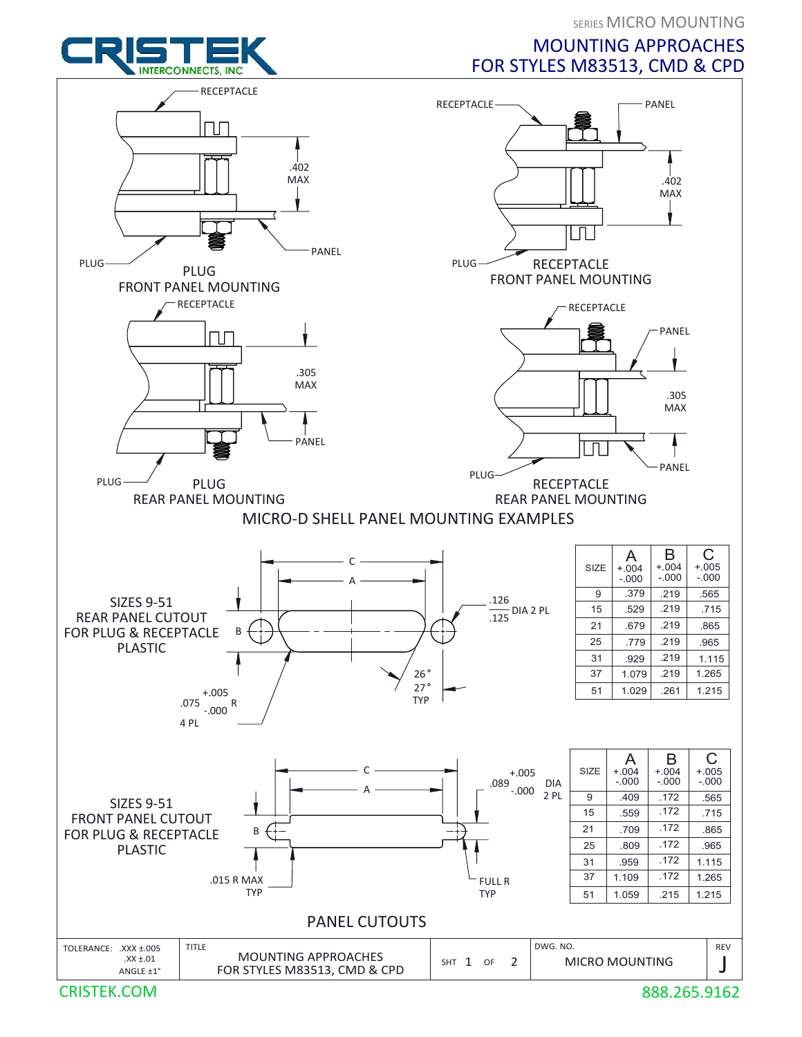SERIES MICRO MOUNTING

## MOUNTING APPROACHES FOR STYLES M83513, CMD & CPD



CRISTEK.COM